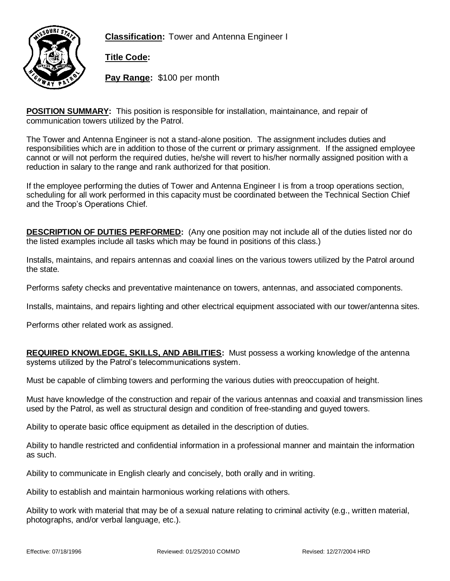



**Title Code:**

**Pay Range:** \$100 per month

**POSITION SUMMARY:** This position is responsible for installation, maintainance, and repair of communication towers utilized by the Patrol.

The Tower and Antenna Engineer is not a stand-alone position. The assignment includes duties and responsibilities which are in addition to those of the current or primary assignment. If the assigned employee cannot or will not perform the required duties, he/she will revert to his/her normally assigned position with a reduction in salary to the range and rank authorized for that position.

If the employee performing the duties of Tower and Antenna Engineer I is from a troop operations section, scheduling for all work performed in this capacity must be coordinated between the Technical Section Chief and the Troop's Operations Chief.

**DESCRIPTION OF DUTIES PERFORMED:** (Any one position may not include all of the duties listed nor do the listed examples include all tasks which may be found in positions of this class.)

Installs, maintains, and repairs antennas and coaxial lines on the various towers utilized by the Patrol around the state.

Performs safety checks and preventative maintenance on towers, antennas, and associated components.

Installs, maintains, and repairs lighting and other electrical equipment associated with our tower/antenna sites.

Performs other related work as assigned.

**REQUIRED KNOWLEDGE, SKILLS, AND ABILITIES:** Must possess a working knowledge of the antenna systems utilized by the Patrol's telecommunications system.

Must be capable of climbing towers and performing the various duties with preoccupation of height.

Must have knowledge of the construction and repair of the various antennas and coaxial and transmission lines used by the Patrol, as well as structural design and condition of free-standing and guyed towers.

Ability to operate basic office equipment as detailed in the description of duties.

Ability to handle restricted and confidential information in a professional manner and maintain the information as such.

Ability to communicate in English clearly and concisely, both orally and in writing.

Ability to establish and maintain harmonious working relations with others.

Ability to work with material that may be of a sexual nature relating to criminal activity (e.g., written material, photographs, and/or verbal language, etc.).